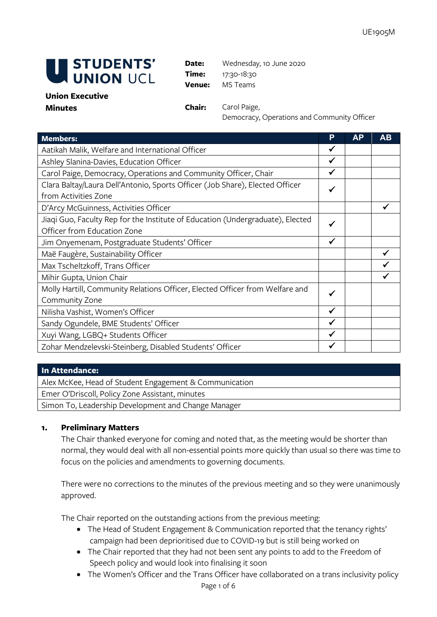

**Date:** Wednesday, 10 June 2020 **Time:** 17:30-18:30 **Venue:** MS Teams

#### **Union Executive Minutes Chair:** Carol Paige,

Democracy, Operations and Community Officer

| <b>Members:</b>                                                                | P            | AP | AВ |
|--------------------------------------------------------------------------------|--------------|----|----|
| Aatikah Malik, Welfare and International Officer                               |              |    |    |
| Ashley Slanina-Davies, Education Officer                                       |              |    |    |
| Carol Paige, Democracy, Operations and Community Officer, Chair                |              |    |    |
| Clara Baltay/Laura Dell'Antonio, Sports Officer (Job Share), Elected Officer   | √            |    |    |
| from Activities Zone                                                           |              |    |    |
| D'Arcy McGuinness, Activities Officer                                          |              |    |    |
| Jiaqi Guo, Faculty Rep for the Institute of Education (Undergraduate), Elected | √            |    |    |
| Officer from Education Zone                                                    |              |    |    |
| Jim Onyemenam, Postgraduate Students' Officer                                  | $\checkmark$ |    |    |
| Maë Faugère, Sustainability Officer                                            |              |    |    |
| Max Tscheltzkoff, Trans Officer                                                |              |    |    |
| Mihir Gupta, Union Chair                                                       |              |    |    |
| Molly Hartill, Community Relations Officer, Elected Officer from Welfare and   | $\checkmark$ |    |    |
| Community Zone                                                                 |              |    |    |
| Nilisha Vashist, Women's Officer                                               | ✔            |    |    |
| Sandy Ogundele, BME Students' Officer                                          | $\checkmark$ |    |    |
| Xuyi Wang, LGBQ+ Students Officer                                              | √            |    |    |
| Zohar Mendzelevski-Steinberg, Disabled Students' Officer                       |              |    |    |

### **In Attendance:**

Alex McKee, Head of Student Engagement & Communication

Emer O'Driscoll, Policy Zone Assistant, minutes

Simon To, Leadership Development and Change Manager

### **1. Preliminary Matters**

The Chair thanked everyone for coming and noted that, as the meeting would be shorter than normal, they would deal with all non-essential points more quickly than usual so there was time to focus on the policies and amendments to governing documents.

There were no corrections to the minutes of the previous meeting and so they were unanimously approved.

The Chair reported on the outstanding actions from the previous meeting:

- The Head of Student Engagement & Communication reported that the tenancy rights' campaign had been deprioritised due to COVID-19 but is still being worked on
- The Chair reported that they had not been sent any points to add to the Freedom of Speech policy and would look into finalising it soon
- The Women's Officer and the Trans Officer have collaborated on a trans inclusivity policy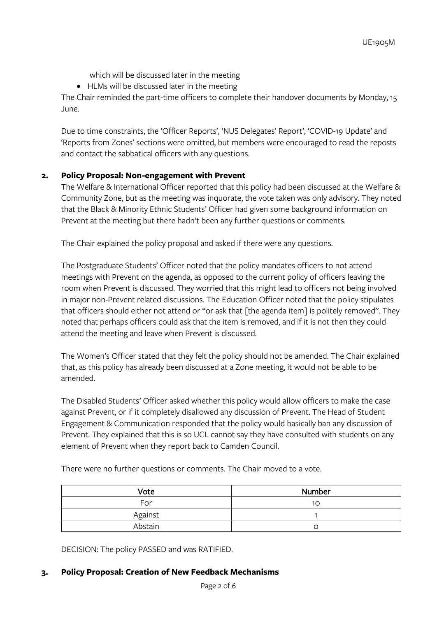which will be discussed later in the meeting

• HLMs will be discussed later in the meeting

The Chair reminded the part-time officers to complete their handover documents by Monday, 15 June.

Due to time constraints, the 'Officer Reports', 'NUS Delegates' Report', 'COVID-19 Update' and 'Reports from Zones' sections were omitted, but members were encouraged to read the reposts and contact the sabbatical officers with any questions.

# **2. Policy Proposal: Non-engagement with Prevent**

The Welfare & International Officer reported that this policy had been discussed at the Welfare & Community Zone, but as the meeting was inquorate, the vote taken was only advisory. They noted that the Black & Minority Ethnic Students' Officer had given some background information on Prevent at the meeting but there hadn't been any further questions or comments.

The Chair explained the policy proposal and asked if there were any questions.

The Postgraduate Students' Officer noted that the policy mandates officers to not attend meetings with Prevent on the agenda, as opposed to the current policy of officers leaving the room when Prevent is discussed. They worried that this might lead to officers not being involved in major non-Prevent related discussions. The Education Officer noted that the policy stipulates that officers should either not attend or "or ask that [the agenda item] is politely removed". They noted that perhaps officers could ask that the item is removed, and if it is not then they could attend the meeting and leave when Prevent is discussed.

The Women's Officer stated that they felt the policy should not be amended. The Chair explained that, as this policy has already been discussed at a Zone meeting, it would not be able to be amended.

The Disabled Students' Officer asked whether this policy would allow officers to make the case against Prevent, or if it completely disallowed any discussion of Prevent. The Head of Student Engagement & Communication responded that the policy would basically ban any discussion of Prevent. They explained that this is so UCL cannot say they have consulted with students on any element of Prevent when they report back to Camden Council.

Vote Number For the  $\vert$  10  $\vert$  10  $\vert$  10  $\vert$  10  $\vert$  10  $\vert$  10  $\vert$  10  $\vert$  10  $\vert$  10  $\vert$  10  $\vert$  10  $\vert$  10  $\vert$  10  $\vert$  10  $\vert$  10  $\vert$  10  $\vert$  10  $\vert$  10  $\vert$  10  $\vert$  10  $\vert$  10  $\vert$  10  $\vert$  10  $\vert$  10  $\vert$  10  $\vert$  10  $\vert$  Against 1 Abstain and a contract of the contract of the contract of the contract of the contract of the contract of the contract of the contract of the contract of the contract of the contract of the contract of the contract of the

There were no further questions or comments. The Chair moved to a vote.

DECISION: The policy PASSED and was RATIFIED.

### **3. Policy Proposal: Creation of New Feedback Mechanisms**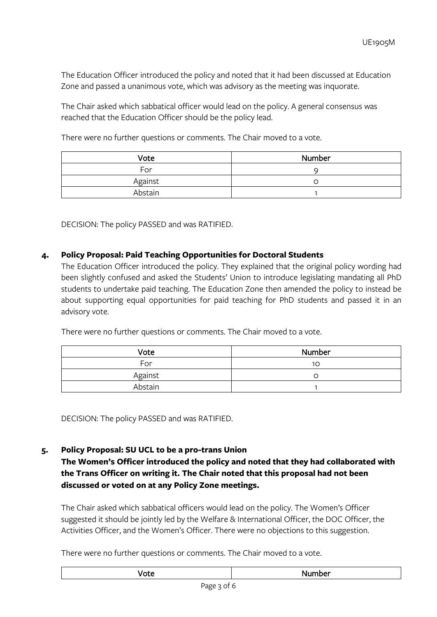The Education Officer introduced the policy and noted that it had been discussed at Education Zone and passed a unanimous vote, which was advisory as the meeting was inquorate.

The Chair asked which sabbatical officer would lead on the policy. A general consensus was reached that the Education Officer should be the policy lead.

There were no further questions or comments. The Chair moved to a vote.

| Vote    | <b>Number</b> |
|---------|---------------|
| For     |               |
| Against |               |
| Abstain |               |

DECISION: The policy PASSED and was RATIFIED.

# **4. Policy Proposal: Paid Teaching Opportunities for Doctoral Students**

The Education Officer introduced the policy. They explained that the original policy wording had been slightly confused and asked the Students' Union to introduce legislating mandating all PhD students to undertake paid teaching. The Education Zone then amended the policy to instead be about supporting equal opportunities for paid teaching for PhD students and passed it in an advisory vote.

| Vote    | Number |
|---------|--------|
| For     | 10     |
| Against |        |
| Abstain |        |

There were no further questions or comments. The Chair moved to a vote.

DECISION: The policy PASSED and was RATIFIED.

### **5. Policy Proposal: SU UCL to be a pro-trans Union**

**The Women's Officer introduced the policy and noted that they had collaborated with the Trans Officer on writing it. The Chair noted that this proposal had not been discussed or voted on at any Policy Zone meetings.**

The Chair asked which sabbatical officers would lead on the policy. The Women's Officer suggested it should be jointly led by the Welfare & International Officer, the DOC Officer, the Activities Officer, and the Women's Officer. There were no objections to this suggestion.

There were no further questions or comments. The Chair moved to a vote.

|--|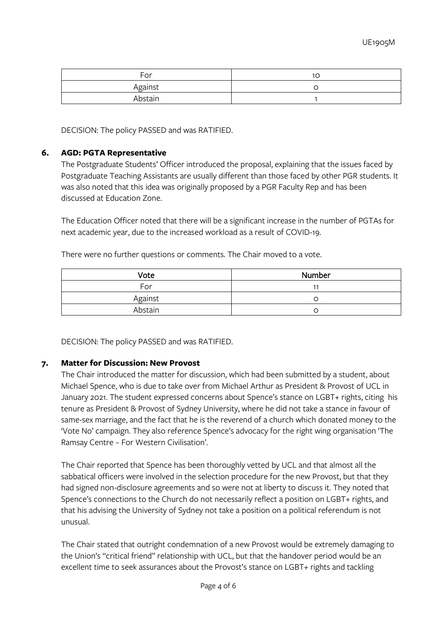| For     | 1C |
|---------|----|
| Against |    |
| Abstain |    |

DECISION: The policy PASSED and was RATIFIED.

### **6. AGD: PGTA Representative**

The Postgraduate Students' Officer introduced the proposal, explaining that the issues faced by Postgraduate Teaching Assistants are usually different than those faced by other PGR students. It was also noted that this idea was originally proposed by a PGR Faculty Rep and has been discussed at Education Zone.

The Education Officer noted that there will be a significant increase in the number of PGTAs for next academic year, due to the increased workload as a result of COVID-19.

There were no further questions or comments. The Chair moved to a vote.

| Vote    | Number |
|---------|--------|
| For     |        |
| Against |        |
| Abstain |        |

DECISION: The policy PASSED and was RATIFIED.

### **7. Matter for Discussion: New Provost**

The Chair introduced the matter for discussion, which had been submitted by a student, about Michael Spence, who is due to take over from Michael Arthur as President & Provost of UCL in January 2021. The student expressed concerns about Spence's stance on LGBT+ rights, citing his tenure as President & Provost of Sydney University, where he did not take a stance in favour of same-sex marriage, and the fact that he is the reverend of a church which donated money to the 'Vote No' campaign. They also reference Spence's advocacy for the right wing organisation 'The Ramsay Centre – For Western Civilisation'.

The Chair reported that Spence has been thoroughly vetted by UCL and that almost all the sabbatical officers were involved in the selection procedure for the new Provost, but that they had signed non-disclosure agreements and so were not at liberty to discuss it. They noted that Spence's connections to the Church do not necessarily reflect a position on LGBT+ rights, and that his advising the University of Sydney not take a position on a political referendum is not unusual.

The Chair stated that outright condemnation of a new Provost would be extremely damaging to the Union's "critical friend" relationship with UCL, but that the handover period would be an excellent time to seek assurances about the Provost's stance on LGBT+ rights and tackling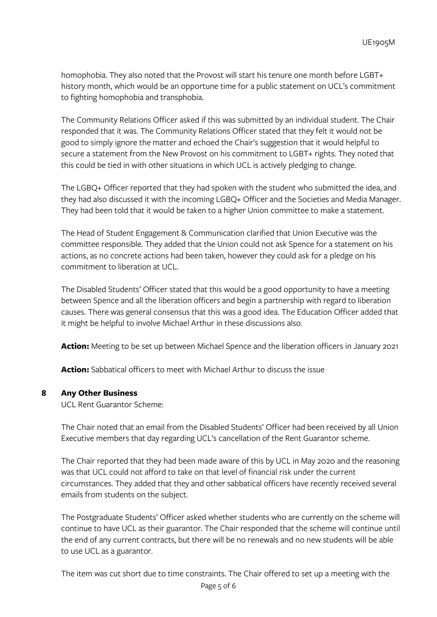homophobia. They also noted that the Provost will start his tenure one month before LGBT+ history month, which would be an opportune time for a public statement on UCL's commitment to fighting homophobia and transphobia.

The Community Relations Officer asked if this was submitted by an individual student. The Chair responded that it was. The Community Relations Officer stated that they felt it would not be good to simply ignore the matter and echoed the Chair's suggestion that it would helpful to secure a statement from the New Provost on his commitment to LGBT+ rights. They noted that this could be tied in with other situations in which UCL is actively pledging to change.

The LGBQ+ Officer reported that they had spoken with the student who submitted the idea, and they had also discussed it with the incoming LGBQ+ Officer and the Societies and Media Manager. They had been told that it would be taken to a higher Union committee to make a statement.

The Head of Student Engagement & Communication clarified that Union Executive was the committee responsible. They added that the Union could not ask Spence for a statement on his actions, as no concrete actions had been taken, however they could ask for a pledge on his commitment to liberation at UCL.

The Disabled Students' Officer stated that this would be a good opportunity to have a meeting between Spence and all the liberation officers and begin a partnership with regard to liberation causes. There was general consensus that this was a good idea. The Education Officer added that it might be helpful to involve Michael Arthur in these discussions also.

**Action:** Meeting to be set up between Michael Spence and the liberation officers in January 2021

**Action:** Sabbatical officers to meet with Michael Arthur to discuss the issue

### **8 Any Other Business**

UCL Rent Guarantor Scheme:

The Chair noted that an email from the Disabled Students' Officer had been received by all Union Executive members that day regarding UCL's cancellation of the Rent Guarantor scheme.

The Chair reported that they had been made aware of this by UCL in May 2020 and the reasoning was that UCL could not afford to take on that level of financial risk under the current circumstances. They added that they and other sabbatical officers have recently received several emails from students on the subject.

The Postgraduate Students' Officer asked whether students who are currently on the scheme will continue to have UCL as their guarantor. The Chair responded that the scheme will continue until the end of any current contracts, but there will be no renewals and no new students will be able to use UCL as a guarantor.

The item was cut short due to time constraints. The Chair offered to set up a meeting with the